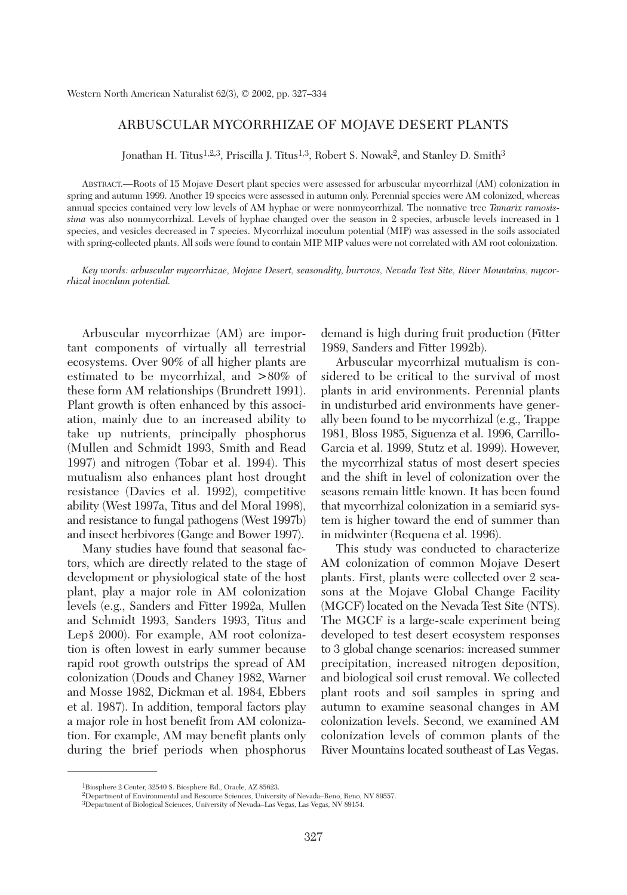# ARBUSCULAR MYCORRHIZAE OF MOJAVE DESERT PLANTS

Jonathan H. Titus<sup>1,2,3</sup>, Priscilla J. Titus<sup>1,3</sup>, Robert S. Nowak<sup>2</sup>, and Stanley D. Smith<sup>3</sup>

ABSTRACT.—Roots of 15 Mojave Desert plant species were assessed for arbuscular mycorrhizal (AM) colonization in spring and autumn 1999. Another 19 species were assessed in autumn only. Perennial species were AM colonized, whereas annual species contained very low levels of AM hyphae or were nonmycorrhizal. The nonnative tree *Tamarix ramosissima* was also nonmycorrhizal. Levels of hyphae changed over the season in 2 species, arbuscle levels increased in 1 species, and vesicles decreased in 7 species. Mycorrhizal inoculum potential (MIP) was assessed in the soils associated with spring-collected plants. All soils were found to contain MIP. MIP values were not correlated with AM root colonization.

*Key words: arbuscular mycorrhizae, Mojave Desert, seasonality, burrows, Nevada Test Site, River Mountains, mycorrhizal inoculum potential.*

Arbuscular mycorrhizae (AM) are important components of virtually all terrestrial ecosystems. Over 90% of all higher plants are estimated to be mycorrhizal, and >80% of these form AM relationships (Brundrett 1991). Plant growth is often enhanced by this association, mainly due to an increased ability to take up nutrients, principally phosphorus (Mullen and Schmidt 1993, Smith and Read 1997) and nitrogen (Tobar et al. 1994). This mutualism also enhances plant host drought resistance (Davies et al. 1992), competitive ability (West 1997a, Titus and del Moral 1998), and resistance to fungal pathogens (West 1997b) and insect herbivores (Gange and Bower 1997).

Many studies have found that seasonal factors, which are directly related to the stage of development or physiological state of the host plant, play a major role in AM colonization levels (e.g., Sanders and Fitter 1992a, Mullen and Schmidt 1993, Sanders 1993, Titus and Lepš 2000). For example, AM root colonization is often lowest in early summer because rapid root growth outstrips the spread of AM colonization (Douds and Chaney 1982, Warner and Mosse 1982, Dickman et al. 1984, Ebbers et al. 1987). In addition, temporal factors play a major role in host benefit from AM colonization. For example, AM may benefit plants only during the brief periods when phosphorus demand is high during fruit production (Fitter 1989, Sanders and Fitter 1992b).

Arbuscular mycorrhizal mutualism is considered to be critical to the survival of most plants in arid environments. Perennial plants in undisturbed arid environments have generally been found to be mycorrhizal (e.g., Trappe 1981, Bloss 1985, Siguenza et al. 1996, Carrillo-Garcia et al. 1999, Stutz et al. 1999). However, the mycorrhizal status of most desert species and the shift in level of colonization over the seasons remain little known. It has been found that mycorrhizal colonization in a semiarid system is higher toward the end of summer than in midwinter (Requena et al. 1996).

This study was conducted to characterize AM colonization of common Mojave Desert plants. First, plants were collected over 2 seasons at the Mojave Global Change Facility (MGCF) located on the Nevada Test Site (NTS). The MGCF is a large-scale experiment being developed to test desert ecosystem responses to 3 global change scenarios: increased summer precipitation, increased nitrogen deposition, and biological soil crust removal. We collected plant roots and soil samples in spring and autumn to examine seasonal changes in AM colonization levels. Second, we examined AM colonization levels of common plants of the River Mountains located southeast of Las Vegas.

<sup>1</sup>Biosphere 2 Center, 32540 S. Biosphere Rd., Oracle, AZ 85623.

<sup>2</sup>Department of Environmental and Resource Sciences, University of Nevada–Reno, Reno, NV 89557.

<sup>3</sup>Department of Biological Sciences, University of Nevada–Las Vegas, Las Vegas, NV 89154.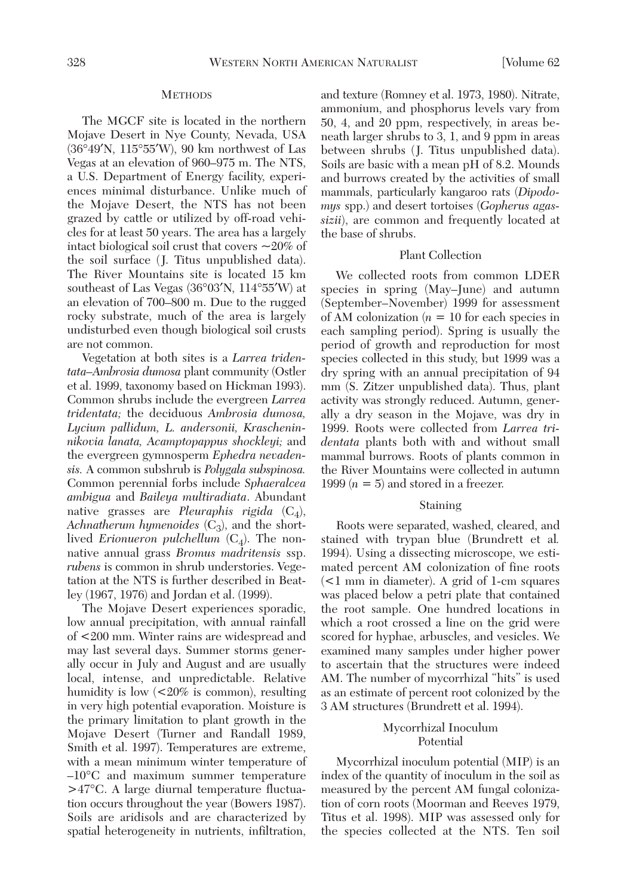## **METHODS**

The MGCF site is located in the northern Mojave Desert in Nye County, Nevada, USA (36°49′N, 115°55′W), 90 km northwest of Las Vegas at an elevation of 960–975 m. The NTS, a U.S. Department of Energy facility, experiences minimal disturbance. Unlike much of the Mojave Desert, the NTS has not been grazed by cattle or utilized by off-road vehicles for at least 50 years. The area has a largely intact biological soil crust that covers  $\sim$ 20% of the soil surface (J. Titus unpublished data). The River Mountains site is located 15 km southeast of Las Vegas (36°03′N, 114°55′W) at an elevation of 700–800 m. Due to the rugged rocky substrate, much of the area is largely undisturbed even though biological soil crusts are not common.

Vegetation at both sites is a *Larrea tridentata–Ambrosia dumosa* plant community (Ostler et al. 1999, taxonomy based on Hickman 1993). Common shrubs include the evergreen *Larrea tridentata;* the deciduous *Ambrosia dumosa, Lycium pallidum, L. andersonii, Krascheninnikovia lanata, Acamptopappus shockleyi;* and the evergreen gymnosperm *Ephedra nevadensis.* A common subshrub is *Polygala subspinosa.* Common perennial forbs include *Sphaeralcea ambigua* and *Baileya multiradiata*. Abundant native grasses are *Pleuraphis rigida* (C<sub>4</sub>), *Achnatherum hymenoides*  $(C_3)$ , and the shortlived *Erionueron pulchellum*  $(C_4)$ . The nonnative annual grass *Bromus madritensis* ssp. *rubens* is common in shrub understories. Vegetation at the NTS is further described in Beatley (1967, 1976) and Jordan et al. (1999).

The Mojave Desert experiences sporadic, low annual precipitation, with annual rainfall of <200 mm. Winter rains are widespread and may last several days. Summer storms generally occur in July and August and are usually local, intense, and unpredictable. Relative humidity is low (<20% is common), resulting in very high potential evaporation. Moisture is the primary limitation to plant growth in the Mojave Desert (Turner and Randall 1989, Smith et al. 1997). Temperatures are extreme, with a mean minimum winter temperature of –10°C and maximum summer temperature >47°C. A large diurnal temperature fluctuation occurs throughout the year (Bowers 1987). Soils are aridisols and are characterized by spatial heterogeneity in nutrients, infiltration,

and texture (Romney et al. 1973, 1980). Nitrate, ammonium, and phosphorus levels vary from 50, 4, and 20 ppm, respectively, in areas beneath larger shrubs to 3, 1, and 9 ppm in areas between shrubs (J. Titus unpublished data). Soils are basic with a mean pH of 8.2. Mounds and burrows created by the activities of small mammals, particularly kangaroo rats (*Dipodomys* spp.) and desert tortoises (*Gopherus agassizii*), are common and frequently located at the base of shrubs.

## Plant Collection

We collected roots from common LDER species in spring (May–June) and autumn (September–November) 1999 for assessment of AM colonization  $(n = 10$  for each species in each sampling period). Spring is usually the period of growth and reproduction for most species collected in this study, but 1999 was a dry spring with an annual precipitation of 94 mm (S. Zitzer unpublished data). Thus, plant activity was strongly reduced. Autumn, generally a dry season in the Mojave, was dry in 1999. Roots were collected from *Larrea tridentata* plants both with and without small mammal burrows. Roots of plants common in the River Mountains were collected in autumn 1999  $(n = 5)$  and stored in a freezer.

#### Staining

Roots were separated, washed, cleared, and stained with trypan blue (Brundrett et al*.* 1994). Using a dissecting microscope, we estimated percent AM colonization of fine roots (<1 mm in diameter). A grid of 1-cm squares was placed below a petri plate that contained the root sample. One hundred locations in which a root crossed a line on the grid were scored for hyphae, arbuscles, and vesicles. We examined many samples under higher power to ascertain that the structures were indeed AM. The number of mycorrhizal "hits" is used as an estimate of percent root colonized by the 3 AM structures (Brundrett et al. 1994).

## Mycorrhizal Inoculum Potential

Mycorrhizal inoculum potential (MIP) is an index of the quantity of inoculum in the soil as measured by the percent AM fungal colonization of corn roots (Moorman and Reeves 1979, Titus et al. 1998). MIP was assessed only for the species collected at the NTS. Ten soil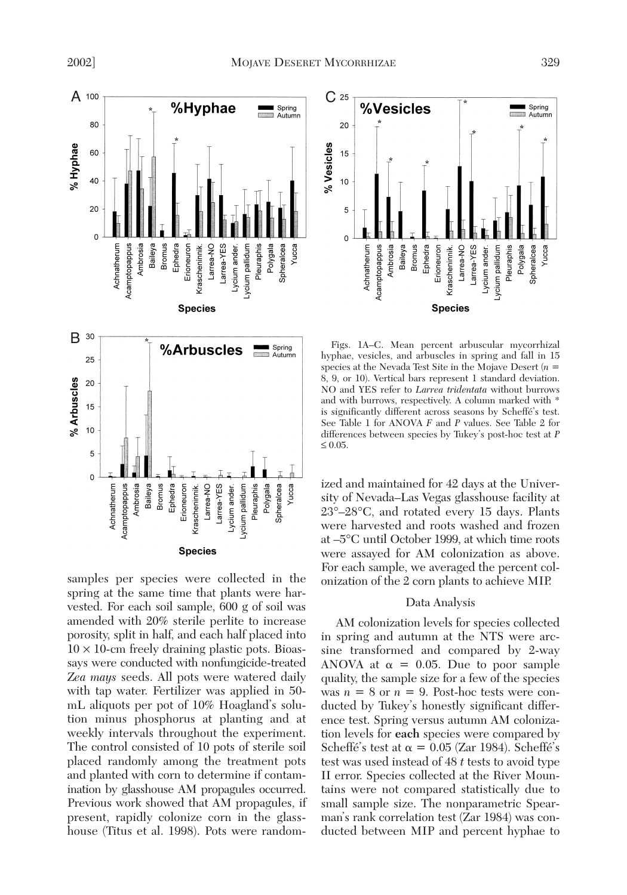

samples per species were collected in the spring at the same time that plants were harvested. For each soil sample, 600 g of soil was amended with 20% sterile perlite to increase porosity, split in half, and each half placed into  $10 \times 10$ -cm freely draining plastic pots. Bioassays were conducted with nonfungicide-treated *Zea mays* seeds. All pots were watered daily with tap water. Fertilizer was applied in 50 mL aliquots per pot of 10% Hoagland's solution minus phosphorus at planting and at weekly intervals throughout the experiment. The control consisted of 10 pots of sterile soil placed randomly among the treatment pots and planted with corn to determine if contamination by glasshouse AM propagules occurred. Previous work showed that AM propagules, if present, rapidly colonize corn in the glasshouse (Titus et al. 1998). Pots were random-



Figs. 1A–C. Mean percent arbuscular mycorrhizal hyphae, vesicles, and arbuscles in spring and fall in 15 species at the Nevada Test Site in the Mojave Desert (*n* = 8, 9, or 10). Vertical bars represent 1 standard deviation. NO and YES refer to *Larrea tridentata* without burrows and with burrows, respectively. A column marked with \* is significantly different across seasons by Scheffé's test. See Table 1 for ANOVA *F* and *P* values. See Table 2 for differences between species by Tukey's post-hoc test at *P*  $\leq 0.05$ .

ized and maintained for 42 days at the University of Nevada–Las Vegas glasshouse facility at 23°–28°C, and rotated every 15 days. Plants were harvested and roots washed and frozen at –5°C until October 1999, at which time roots were assayed for AM colonization as above. For each sample, we averaged the percent colonization of the 2 corn plants to achieve MIP.

# Data Analysis

AM colonization levels for species collected in spring and autumn at the NTS were arcsine transformed and compared by 2-way ANOVA at  $\alpha = 0.05$ . Due to poor sample quality, the sample size for a few of the species was  $n = 8$  or  $n = 9$ . Post-hoc tests were conducted by Tukey's honestly significant difference test. Spring versus autumn AM colonization levels for **each** species were compared by Scheffé's test at  $\alpha = 0.05$  (Zar 1984). Scheffé's test was used instead of 48 *t* tests to avoid type II error. Species collected at the River Mountains were not compared statistically due to small sample size. The nonparametric Spearman's rank correlation test (Zar 1984) was conducted between MIP and percent hyphae to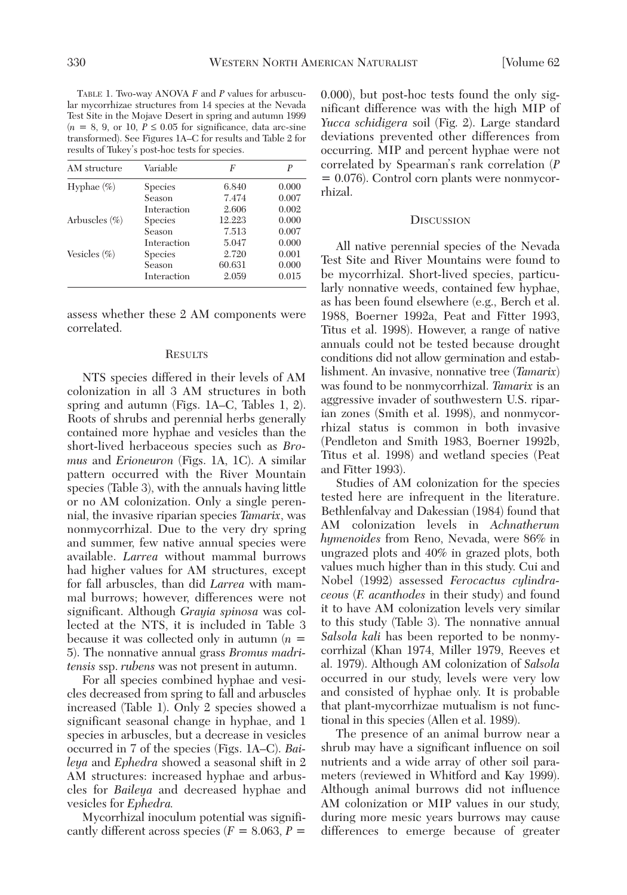TABLE 1. Two-way ANOVA *F* and *P* values for arbuscular mycorrhizae structures from 14 species at the Nevada Test Site in the Mojave Desert in spring and autumn 1999  $(n = 8, 9, \text{ or } 10, P \leq 0.05 \text{ for significance, data are-sine})$ transformed). See Figures 1A–C for results and Table 2 for results of Tukey's post-hoc tests for species.

| AM structure      | Variable       | F      | P     |
|-------------------|----------------|--------|-------|
| Hyphae $(\% )$    | <b>Species</b> | 6.840  | 0.000 |
|                   | Season         | 7.474  | 0.007 |
|                   | Interaction    | 2.606  | 0.002 |
| Arbuscles $(\% )$ | <b>Species</b> | 12.223 | 0.000 |
|                   | Season         | 7.513  | 0.007 |
|                   | Interaction    | 5.047  | 0.000 |
| Vesicles $(\% )$  | <b>Species</b> | 2.720  | 0.001 |
|                   | Season         | 60.631 | 0.000 |
|                   | Interaction    | 2.059  | 0.015 |

assess whether these 2 AM components were correlated.

#### **RESULTS**

NTS species differed in their levels of AM colonization in all 3 AM structures in both spring and autumn (Figs. 1A–C, Tables 1, 2). Roots of shrubs and perennial herbs generally contained more hyphae and vesicles than the short-lived herbaceous species such as *Bromus* and *Erioneuron* (Figs. 1A, 1C). A similar pattern occurred with the River Mountain species (Table 3), with the annuals having little or no AM colonization. Only a single perennial, the invasive riparian species *Tamarix*, was nonmycorrhizal. Due to the very dry spring and summer, few native annual species were available. *Larrea* without mammal burrows had higher values for AM structures, except for fall arbuscles, than did *Larrea* with mammal burrows; however, differences were not significant. Although *Grayia spinosa* was collected at the NTS, it is included in Table 3 because it was collected only in autumn (*n* = 5). The nonnative annual grass *Bromus madritensis* ssp. *rubens* was not present in autumn.

For all species combined hyphae and vesicles decreased from spring to fall and arbuscles increased (Table 1). Only 2 species showed a significant seasonal change in hyphae, and 1 species in arbuscles, but a decrease in vesicles occurred in 7 of the species (Figs. 1A–C). *Baileya* and *Ephedra* showed a seasonal shift in 2 AM structures: increased hyphae and arbuscles for *Baileya* and decreased hyphae and vesicles for *Ephedra.*

Mycorrhizal inoculum potential was significantly different across species  $(F = 8.063, P =$ 

0.000), but post-hoc tests found the only significant difference was with the high MIP of *Yucca schidigera* soil (Fig. 2). Large standard deviations prevented other differences from occurring. MIP and percent hyphae were not correlated by Spearman's rank correlation (*P* = 0.076). Control corn plants were nonmycorrhizal.

### **DISCUSSION**

All native perennial species of the Nevada Test Site and River Mountains were found to be mycorrhizal. Short-lived species, particularly nonnative weeds, contained few hyphae, as has been found elsewhere (e.g., Berch et al. 1988, Boerner 1992a, Peat and Fitter 1993, Titus et al. 1998). However, a range of native annuals could not be tested because drought conditions did not allow germination and establishment. An invasive, nonnative tree (*Tamarix*) was found to be nonmycorrhizal. *Tamarix* is an aggressive invader of southwestern U.S. riparian zones (Smith et al. 1998), and nonmycorrhizal status is common in both invasive (Pendleton and Smith 1983, Boerner 1992b, Titus et al. 1998) and wetland species (Peat and Fitter 1993).

Studies of AM colonization for the species tested here are infrequent in the literature. Bethlenfalvay and Dakessian (1984) found that AM colonization levels in *Achnatherum hymenoides* from Reno, Nevada, were 86% in ungrazed plots and 40% in grazed plots, both values much higher than in this study. Cui and Nobel (1992) assessed *Ferocactus cylindraceous* (*F. acanthodes* in their study) and found it to have AM colonization levels very similar to this study (Table 3). The nonnative annual *Salsola kali* has been reported to be nonmycorrhizal (Khan 1974, Miller 1979, Reeves et al. 1979). Although AM colonization of *Salsola* occurred in our study, levels were very low and consisted of hyphae only. It is probable that plant-mycorrhizae mutualism is not functional in this species (Allen et al. 1989).

The presence of an animal burrow near a shrub may have a significant influence on soil nutrients and a wide array of other soil parameters (reviewed in Whitford and Kay 1999). Although animal burrows did not influence AM colonization or MIP values in our study, during more mesic years burrows may cause differences to emerge because of greater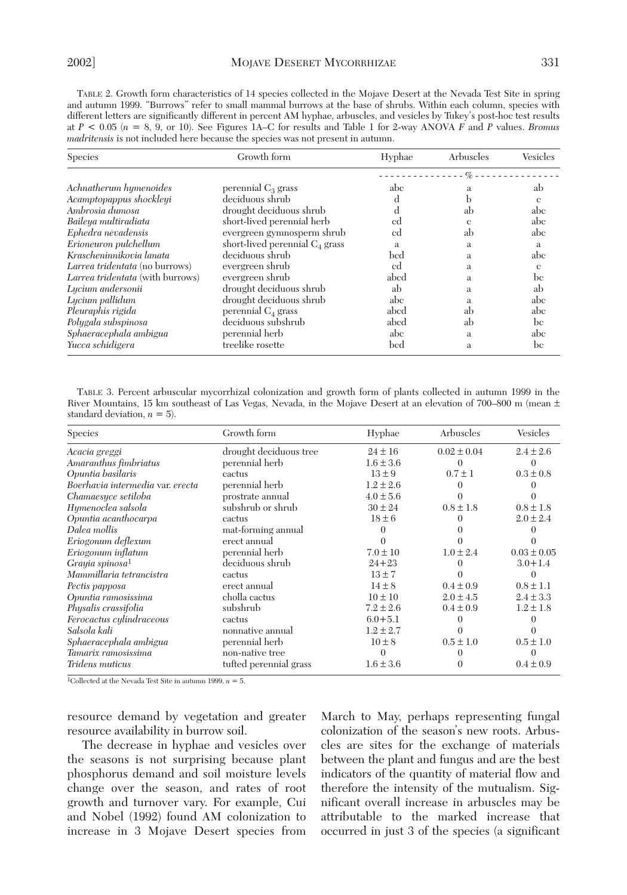TABLE 2. Growth form characteristics of 14 species collected in the Mojave Desert at the Nevada Test Site in spring and autumn 1999. "Burrows" refer to small mammal burrows at the base of shrubs. Within each column, species with different letters are significantly different in percent AM hyphae, arbuscles, and vesicles by Tukey's post-hoc test results at *P* < 0.05 (*n* = 8, 9, or 10). See Figures 1A–C for results and Table 1 for 2-way ANOVA *F* and *P* values. *Bromus madritensis* is not included here because the species was not present in autumn.

| <b>Species</b>                   | Growth form                       | Hyphae | Arbuscles | Vesicles     |
|----------------------------------|-----------------------------------|--------|-----------|--------------|
|                                  |                                   |        | $-$ %     |              |
| Achnatherum hymenoides           | perennial $C_3$ grass             | abc    | a         | ab           |
| Acamptopappus shockleyi          | deciduous shrub                   | d      |           | e            |
| Ambrosia dumosa                  | drought deciduous shrub           | d      | ab        | abc          |
| Baileya multiradiata             | short-lived perennial herb        | cd     | e         | abc          |
| Ephedra nevadensis               | evergreen gymnosperm shrub        | cd     | ab        | abc          |
| Erioneuron pulchellum            | short-lived perennial $C_4$ grass | a      | a         | a            |
| Krascheninnikovia lanata         | deciduous shrub                   | bed    | a         | abc          |
| Larrea tridentata (no burrows)   | evergreen shrub                   | cd     | a         | $\mathbf{c}$ |
| Larrea tridentata (with burrows) | evergreen shrub                   | abcd   | a         | be           |
| Lucium andersonii                | drought deciduous shrub           | ab     | a         | ab           |
| Lycium pallidum                  | drought deciduous shrub           | abc    | a         | abc          |
| Pleuraphis rigida                | perennial C <sub>4</sub> grass    | abcd   | ab        | abc          |
| Polygala subspinosa              | deciduous subshrub                | abcd   | ab        | be           |
| Sphaeracephala ambigua           | perennial herb                    | abc    | a         | abc          |
| Yucca schidigera                 | treelike rosette                  | bed    | a         | be           |

TABLE 3. Percent arbuscular mycorrhizal colonization and growth form of plants collected in autumn 1999 in the River Mountains, 15 km southeast of Las Vegas, Nevada, in the Mojave Desert at an elevation of 700–800 m (mean ± standard deviation,  $n = 5$ ).

| <b>Species</b>                   | Growth form            | Hyphae        | Arbuscles       | Vesicles        |
|----------------------------------|------------------------|---------------|-----------------|-----------------|
| Acacia greggi                    | drought deciduous tree | $24 \pm 16$   | $0.02 \pm 0.04$ | $2.4 \pm 2.6$   |
| Amaranthus fimbriatus            | perennial herb         | $1.6 \pm 3.6$ |                 |                 |
| Opuntia basilaris                | cactus                 | $13 \pm 9$    | $0.7 \pm 1$     | $0.3 \pm 0.8$   |
| Boerhavia intermedia var. erecta | perennial herb         | $1.2 \pm 2.6$ |                 |                 |
| Chamaesyce setiloba              | prostrate annual       | $4.0 \pm 5.6$ |                 |                 |
| Hymenoclea salsola               | subshrub or shrub      | $30 \pm 24$   | $0.8 \pm 1.8$   | $0.8 \pm 1.8$   |
| Opuntia acanthocarpa             | cactus                 | $18 \pm 6$    |                 | $2.0 \pm 2.4$   |
| Dalea mollis                     | mat-forming annual     |               |                 |                 |
| Eriogonum deflexum               | erect annual           |               |                 |                 |
| Eriogonum inflatum               | perennial herb         | $7.0 \pm 10$  | $1.0 \pm 2.4$   | $0.03 \pm 0.05$ |
| Grayia spinosa <sup>1</sup>      | deciduous shrub        | $24 + 23$     |                 | $3.0 + 1.4$     |
| Mammillaria tetrancistra         | cactus                 | $13 \pm 7$    |                 |                 |
| Pectis papposa                   | erect annual           | $14 \pm 8$    | $0.4 \pm 0.9$   | $0.8 \pm 1.1$   |
| Opuntia ramosissima              | cholla cactus          | $10 \pm 10$   | $2.0 \pm 4.5$   | $2.4 \pm 3.3$   |
| Physalis crassifolia             | subshrub               | $7.2 \pm 2.6$ | $0.4 \pm 0.9$   | $1.2 \pm 1.8$   |
| Ferocactus cylindraceous         | cactus                 | $6.0 + 5.1$   |                 |                 |
| Salsola kali                     | nonnative annual       | $1.2 \pm 2.7$ |                 |                 |
| Sphaeracephala ambigua           | perennial herb         | $10 \pm 8$    | $0.5 \pm 1.0$   | $0.5 \pm 1.0$   |
| Tamarix ramosissima              | non-native tree        |               |                 |                 |
| Tridens muticus                  | tufted perennial grass | $1.6 \pm 3.6$ | $\Omega$        | $0.4 \pm 0.9$   |

<sup>1</sup>Collected at the Nevada Test Site in autumn 1999,  $n = 5$ .

resource demand by vegetation and greater resource availability in burrow soil.

The decrease in hyphae and vesicles over the seasons is not surprising because plant phosphorus demand and soil moisture levels change over the season, and rates of root growth and turnover vary. For example, Cui and Nobel (1992) found AM colonization to increase in 3 Mojave Desert species from March to May, perhaps representing fungal colonization of the season's new roots. Arbuscles are sites for the exchange of materials between the plant and fungus and are the best indicators of the quantity of material flow and therefore the intensity of the mutualism. Significant overall increase in arbuscles may be attributable to the marked increase that occurred in just 3 of the species (a significant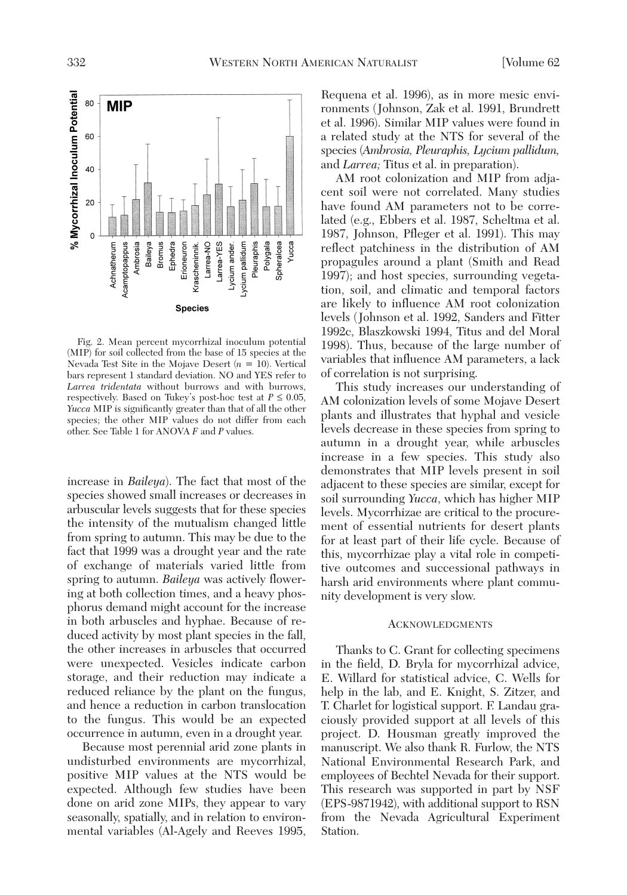

Fig. 2. Mean percent mycorrhizal inoculum potential (MIP) for soil collected from the base of 15 species at the Nevada Test Site in the Mojave Desert (*n* = 10). Vertical bars represent 1 standard deviation. NO and YES refer to *Larrea tridentata* without burrows and with burrows, respectively. Based on Tukey's post-hoc test at  $P \leq 0.05$ , *Yucca* MIP is significantly greater than that of all the other species; the other MIP values do not differ from each other. See Table 1 for ANOVA *F* and *P* values.

increase in *Baileya*). The fact that most of the species showed small increases or decreases in arbuscular levels suggests that for these species the intensity of the mutualism changed little from spring to autumn. This may be due to the fact that 1999 was a drought year and the rate of exchange of materials varied little from spring to autumn. *Baileya* was actively flowering at both collection times, and a heavy phosphorus demand might account for the increase in both arbuscles and hyphae. Because of reduced activity by most plant species in the fall, the other increases in arbuscles that occurred were unexpected. Vesicles indicate carbon storage, and their reduction may indicate a reduced reliance by the plant on the fungus, and hence a reduction in carbon translocation to the fungus. This would be an expected occurrence in autumn, even in a drought year.

Because most perennial arid zone plants in undisturbed environments are mycorrhizal, positive MIP values at the NTS would be expected. Although few studies have been done on arid zone MIPs, they appear to vary seasonally, spatially, and in relation to environmental variables (Al-Agely and Reeves 1995,

Requena et al. 1996), as in more mesic environments (Johnson, Zak et al. 1991, Brundrett et al. 1996). Similar MIP values were found in a related study at the NTS for several of the species (*Ambrosia, Pleuraphis, Lycium pallidum,* and *Larrea;* Titus et al. in preparation).

AM root colonization and MIP from adjacent soil were not correlated. Many studies have found AM parameters not to be correlated (e.g., Ebbers et al. 1987, Scheltma et al. 1987, Johnson, Pfleger et al. 1991). This may reflect patchiness in the distribution of AM propagules around a plant (Smith and Read 1997); and host species, surrounding vegetation, soil, and climatic and temporal factors are likely to influence AM root colonization levels (Johnson et al. 1992, Sanders and Fitter 1992c, Blaszkowski 1994, Titus and del Moral 1998). Thus, because of the large number of variables that influence AM parameters, a lack of correlation is not surprising.

This study increases our understanding of AM colonization levels of some Mojave Desert plants and illustrates that hyphal and vesicle levels decrease in these species from spring to autumn in a drought year, while arbuscles increase in a few species. This study also demonstrates that MIP levels present in soil adjacent to these species are similar, except for soil surrounding *Yucca*, which has higher MIP levels. Mycorrhizae are critical to the procurement of essential nutrients for desert plants for at least part of their life cycle. Because of this, mycorrhizae play a vital role in competitive outcomes and successional pathways in harsh arid environments where plant community development is very slow.

### **ACKNOWLEDGMENTS**

Thanks to C. Grant for collecting specimens in the field, D. Bryla for mycorrhizal advice, E. Willard for statistical advice, C. Wells for help in the lab, and E. Knight, S. Zitzer, and T. Charlet for logistical support. F. Landau graciously provided support at all levels of this project. D. Housman greatly improved the manuscript. We also thank R. Furlow, the NTS National Environmental Research Park, and employees of Bechtel Nevada for their support. This research was supported in part by NSF (EPS-9871942), with additional support to RSN from the Nevada Agricultural Experiment Station.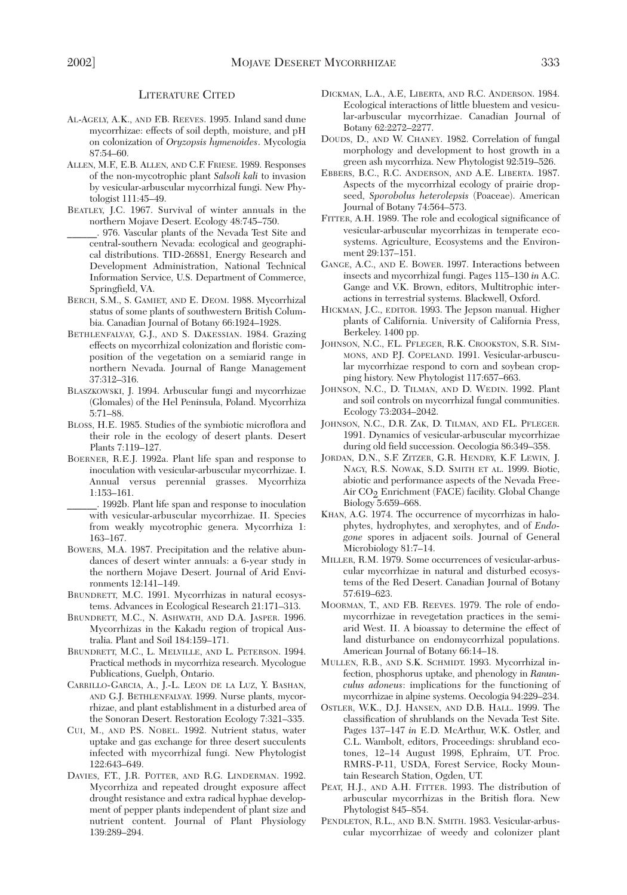### LITERATURE CITED

- AL-AGELY, A.K., AND F.B. REEVES. 1995. Inland sand dune mycorrhizae: effects of soil depth, moisture, and pH on colonization of *Oryzopsis hymenoides*. Mycologia 87:54–60.
- ALLEN, M.F., E.B. ALLEN, AND C.F. FRIESE. 1989. Responses of the non-mycotrophic plant *Salsoli kali* to invasion by vesicular-arbuscular mycorrhizal fungi. New Phytologist 111:45–49.
- BEATLEY, J.C. 1967. Survival of winter annuals in the northern Mojave Desert. Ecology 48:745–750.
- \_\_\_\_\_\_. 976. Vascular plants of the Nevada Test Site and central-southern Nevada: ecological and geographical distributions. TID-26881, Energy Research and Development Administration, National Technical Information Service, U.S. Department of Commerce, Springfield, VA.
- BERCH, S.M., S. GAMIET, AND E. DEOM. 1988. Mycorrhizal status of some plants of southwestern British Columbia. Canadian Journal of Botany 66:1924–1928.
- BETHLENFALVAY, G.J., AND S. DAKESSIAN. 1984. Grazing effects on mycorrhizal colonization and floristic composition of the vegetation on a semiarid range in northern Nevada. Journal of Range Management 37:312–316.
- BLASZKOWSKI, J. 1994. Arbuscular fungi and mycorrhizae (Glomales) of the Hel Peninsula, Poland. Mycorrhiza 5:71–88.
- BLOSS, H.E. 1985. Studies of the symbiotic microflora and their role in the ecology of desert plants. Desert Plants 7:119–127.
- BOERNER, R.E.J. 1992a. Plant life span and response to inoculation with vesicular-arbuscular mycorrhizae. I. Annual versus perennial grasses. Mycorrhiza 1:153–161.
- \_\_\_\_\_\_. 1992b. Plant life span and response to inoculation with vesicular-arbuscular mycorrhizae. II. Species from weakly mycotrophic genera. Mycorrhiza 1: 163–167.
- BOWERS, M.A. 1987. Precipitation and the relative abundances of desert winter annuals: a 6-year study in the northern Mojave Desert. Journal of Arid Environments 12:141–149.
- BRUNDRETT, M.C. 1991. Mycorrhizas in natural ecosystems. Advances in Ecological Research 21:171–313.
- BRUNDRETT, M.C., N. ASHWATH, AND D.A. JASPER. 1996. Mycorrhizas in the Kakadu region of tropical Australia. Plant and Soil 184:159–171.
- BRUNDRETT, M.C., L. MELVILLE, AND L. PETERSON. 1994. Practical methods in mycorrhiza research. Mycologue Publications, Guelph, Ontario.
- CARRILLO-GARCIA, A., J.-L. LEON DE LA LUZ, Y. BASHAN, AND G.J. BETHLENFALVAY. 1999. Nurse plants, mycorrhizae, and plant establishment in a disturbed area of the Sonoran Desert. Restoration Ecology 7:321–335.
- CUI, M., AND P.S. NOBEL. 1992. Nutrient status, water uptake and gas exchange for three desert succulents infected with mycorrhizal fungi. New Phytologist 122:643–649.
- DAVIES, F.T., J.R. POTTER, AND R.G. LINDERMAN. 1992. Mycorrhiza and repeated drought exposure affect drought resistance and extra radical hyphae development of pepper plants independent of plant size and nutrient content. Journal of Plant Physiology 139:289–294.
- DICKMAN, L.A., A.E, LIBERTA, AND R.C. ANDERSON. 1984. Ecological interactions of little bluestem and vesicular-arbuscular mycorrhizae. Canadian Journal of Botany 62:2272–2277.
- DOUDS, D., AND W. CHANEY. 1982. Correlation of fungal morphology and development to host growth in a green ash mycorrhiza. New Phytologist 92:519–526.
- EBBERS, B.C., R.C. ANDERSON, AND A.E. LIBERTA. 1987. Aspects of the mycorrhizal ecology of prairie dropseed, *Sporobolus heterolepsis* (Poaceae). American Journal of Botany 74:564–573.
- FITTER, A.H. 1989. The role and ecological significance of vesicular-arbuscular mycorrhizas in temperate ecosystems. Agriculture, Ecosystems and the Environment 29:137–151.
- GANGE, A.C., AND E. BOWER. 1997. Interactions between insects and mycorrhizal fungi. Pages 115–130 *in* A.C. Gange and V.K. Brown, editors, Multitrophic interactions in terrestrial systems. Blackwell, Oxford.
- HICKMAN, J.C., EDITOR. 1993. The Jepson manual. Higher plants of California. University of California Press, Berkeley. 1400 pp.
- JOHNSON, N.C., F.L. PFLEGER, R.K. CROOKSTON, S.R. SIM-MONS, AND P.J. COPELAND. 1991. Vesicular-arbuscular mycorrhizae respond to corn and soybean cropping history. New Phytologist 117:657–663.
- JOHNSON, N.C., D. TILMAN, AND D. WEDIN. 1992. Plant and soil controls on mycorrhizal fungal communities. Ecology 73:2034–2042.
- JOHNSON, N.C., D.R. ZAK, D. TILMAN, AND F.L. PFLEGER. 1991. Dynamics of vesicular-arbuscular mycorrhizae during old field succession. Oecologia 86:349–358.
- JORDAN, D.N., S.F. ZITZER, G.R. HENDRY, K.F. LEWIN, J. NAGY, R.S. NOWAK, S.D. SMITH ET AL. 1999. Biotic, abiotic and performance aspects of the Nevada Free-Air CO<sub>2</sub> Enrichment (FACE) facility. Global Change Biology 5:659–668.
- KHAN, A.G. 1974. The occurrence of mycorrhizas in halophytes, hydrophytes, and xerophytes, and of *Endogone* spores in adjacent soils. Journal of General Microbiology 81:7–14.
- MILLER, R.M. 1979. Some occurrences of vesicular-arbuscular mycorrhizae in natural and disturbed ecosystems of the Red Desert. Canadian Journal of Botany 57:619–623.
- MOORMAN, T., AND F.B. REEVES. 1979. The role of endomycorrhizae in revegetation practices in the semiarid West. II. A bioassay to determine the effect of land disturbance on endomycorrhizal populations. American Journal of Botany 66:14–18.
- MULLEN, R.B., AND S.K. SCHMIDT. 1993. Mycorrhizal infection, phosphorus uptake, and phenology in *Ranunculus adoneus*: implications for the functioning of mycorrhizae in alpine systems. Oecologia 94:229–234.
- OSTLER, W.K., D.J. HANSEN, AND D.B. HALL. 1999. The classification of shrublands on the Nevada Test Site. Pages 137–147 *in* E.D. McArthur, W.K. Ostler, and C.L. Wambolt, editors, Proceedings: shrubland ecotones, 12–14 August 1998, Ephraim, UT. Proc. RMRS-P-11, USDA, Forest Service, Rocky Mountain Research Station, Ogden, UT.
- PEAT, H.J., AND A.H. FITTER. 1993. The distribution of arbuscular mycorrhizas in the British flora. New Phytologist 845–854.
- PENDLETON, R.L., AND B.N. SMITH. 1983. Vesicular-arbuscular mycorrhizae of weedy and colonizer plant